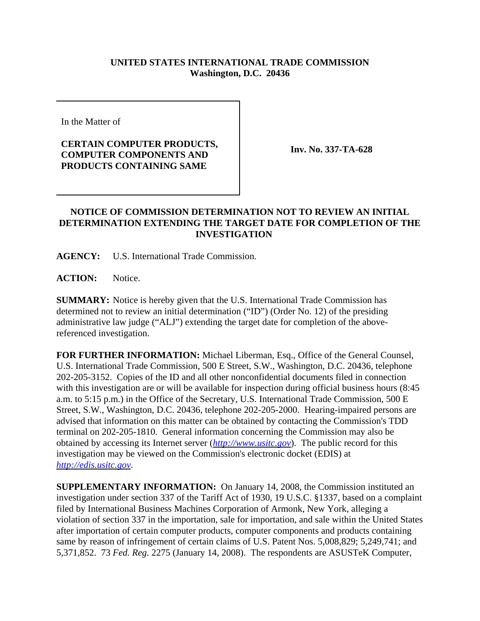## **UNITED STATES INTERNATIONAL TRADE COMMISSION Washington, D.C. 20436**

In the Matter of

## **CERTAIN COMPUTER PRODUCTS, COMPUTER COMPONENTS AND PRODUCTS CONTAINING SAME**

**Inv. No. 337-TA-628**

## **NOTICE OF COMMISSION DETERMINATION NOT TO REVIEW AN INITIAL DETERMINATION EXTENDING THE TARGET DATE FOR COMPLETION OF THE INVESTIGATION**

**AGENCY:** U.S. International Trade Commission.

**ACTION:** Notice.

**SUMMARY:** Notice is hereby given that the U.S. International Trade Commission has determined not to review an initial determination ("ID") (Order No. 12) of the presiding administrative law judge ("ALJ") extending the target date for completion of the abovereferenced investigation.

**FOR FURTHER INFORMATION:** Michael Liberman, Esq., Office of the General Counsel, U.S. International Trade Commission, 500 E Street, S.W., Washington, D.C. 20436, telephone 202-205-3152. Copies of the ID and all other nonconfidential documents filed in connection with this investigation are or will be available for inspection during official business hours (8:45 a.m. to 5:15 p.m.) in the Office of the Secretary, U.S. International Trade Commission, 500 E Street, S.W., Washington, D.C. 20436, telephone 202-205-2000. Hearing-impaired persons are advised that information on this matter can be obtained by contacting the Commission's TDD terminal on 202-205-1810. General information concerning the Commission may also be obtained by accessing its Internet server (*http://www.usitc.gov*). The public record for this investigation may be viewed on the Commission's electronic docket (EDIS) at *http://edis.usitc.gov*.

**SUPPLEMENTARY INFORMATION:** On January 14, 2008, the Commission instituted an investigation under section 337 of the Tariff Act of 1930, 19 U.S.C. §1337, based on a complaint filed by International Business Machines Corporation of Armonk, New York, alleging a violation of section 337 in the importation, sale for importation, and sale within the United States after importation of certain computer products, computer components and products containing same by reason of infringement of certain claims of U.S. Patent Nos. 5,008,829; 5,249,741; and 5,371,852. 73 *Fed. Reg.* 2275 (January 14, 2008). The respondents are ASUSTeK Computer,